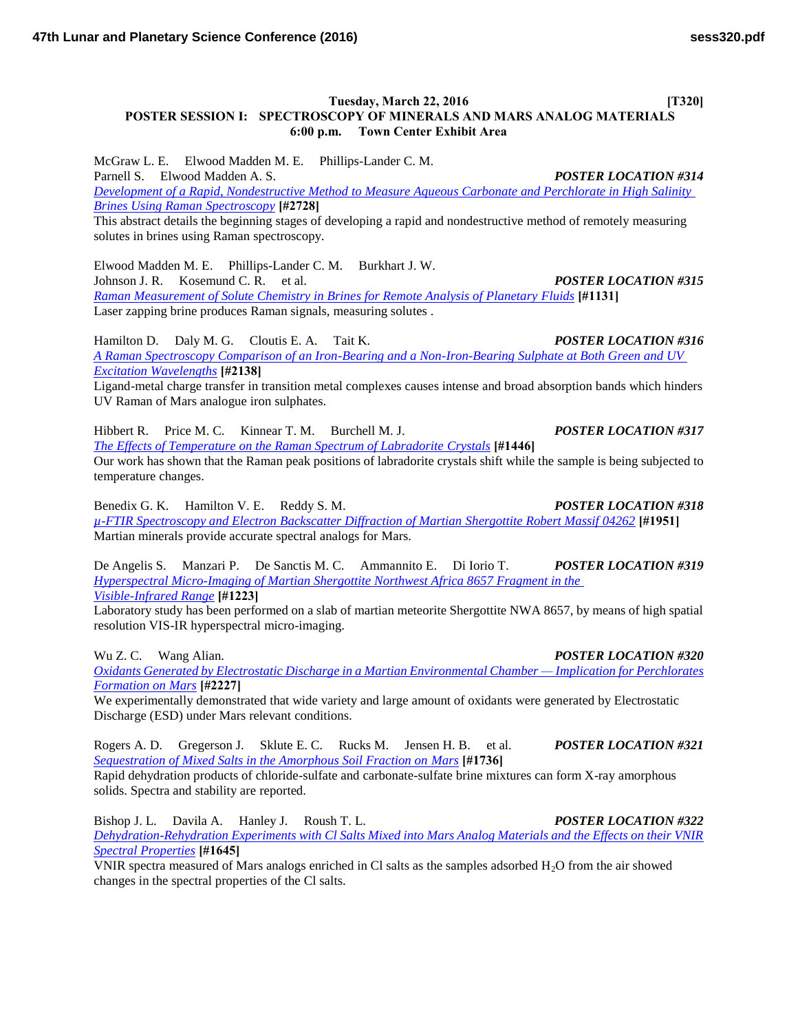### **Tuesday, March 22, 2016** [T320] **POSTER SESSION I: SPECTROSCOPY OF MINERALS AND MARS ANALOG MATERIALS 6:00 p.m. Town Center Exhibit Area**

McGraw L. E. Elwood Madden M. E. Phillips-Lander C. M. Parnell S. Elwood Madden A. S. *POSTER LOCATION #314 [Development of a Rapid, Nondestructive Method to Measure Aqueous Carbonate and Perchlorate in High Salinity](http://www.hou.usra.edu/meetings/lpsc2016/pdf/2728.pdf)  [Brines Using Raman Spectroscopy](http://www.hou.usra.edu/meetings/lpsc2016/pdf/2728.pdf)* **[#2728]**

This abstract details the beginning stages of developing a rapid and nondestructive method of remotely measuring solutes in brines using Raman spectroscopy.

Elwood Madden M. E. Phillips-Lander C. M. Burkhart J. W. Johnson J. R. Kosemund C. R. et al. *POSTER LOCATION #315 [Raman Measurement of Solute Chemistry in Brines for Remote Analysis of Planetary Fluids](http://www.hou.usra.edu/meetings/lpsc2016/pdf/1131.pdf)* **[#1131]** Laser zapping brine produces Raman signals, measuring solutes .

Hamilton D. Daly M. G. Cloutis E. A. Tait K. *POSTER LOCATION #316 [A Raman Spectroscopy Comparison of an Iron-Bearing and a Non-Iron-Bearing Sulphate at Both Green and UV](http://www.hou.usra.edu/meetings/lpsc2016/pdf/2138.pdf)  [Excitation Wavelengths](http://www.hou.usra.edu/meetings/lpsc2016/pdf/2138.pdf)* **[#2138]**

Ligand-metal charge transfer in transition metal complexes causes intense and broad absorption bands which hinders UV Raman of Mars analogue iron sulphates.

Hibbert R. Price M. C. Kinnear T. M. Burchell M. J. *POSTER LOCATION #317 [The Effects of Temperature on the Raman Spectrum of Labradorite Crystals](http://www.hou.usra.edu/meetings/lpsc2016/pdf/1446.pdf)* **[#1446]** Our work has shown that the Raman peak positions of labradorite crystals shift while the sample is being subjected to temperature changes.

Benedix G. K. Hamilton V. E. Reddy S. M. *POSTER LOCATION #318 [µ-FTIR Spectroscopy and Electron Backscatter Diffraction of Martian Shergottite Robert Massif 04262](http://www.hou.usra.edu/meetings/lpsc2016/pdf/1951.pdf)* **[#1951]** Martian minerals provide accurate spectral analogs for Mars.

De Angelis S. Manzari P. De Sanctis M. C. Ammannito E. Di Iorio T. *POSTER LOCATION #319 [Hyperspectral Micro-Imaging of Martian Shergottite Northwest Africa 8657 Fragment in the](http://www.hou.usra.edu/meetings/lpsc2016/pdf/1223.pdf)  [Visible-Infrared Range](http://www.hou.usra.edu/meetings/lpsc2016/pdf/1223.pdf)* **[#1223]**

Laboratory study has been performed on a slab of martian meteorite Shergottite NWA 8657, by means of high spatial resolution VIS-IR hyperspectral micro-imaging.

Wu Z. C. Wang Alian. *POSTER LOCATION #320*

*[Oxidants Generated by Electrostatic Discharge in a Martian Environmental Chamber — Implication for Perchlorates](http://www.hou.usra.edu/meetings/lpsc2016/pdf/2227.pdf)  [Formation on Mars](http://www.hou.usra.edu/meetings/lpsc2016/pdf/2227.pdf)* **[#2227]**

We experimentally demonstrated that wide variety and large amount of oxidants were generated by Electrostatic Discharge (ESD) under Mars relevant conditions.

Rogers A. D. Gregerson J. Sklute E. C. Rucks M. Jensen H. B. et al. *POSTER LOCATION #321 [Sequestration of Mixed Salts in the Amorphous Soil Fraction on Mars](http://www.hou.usra.edu/meetings/lpsc2016/pdf/1736.pdf)* **[#1736]**

Rapid dehydration products of chloride-sulfate and carbonate-sulfate brine mixtures can form X-ray amorphous solids. Spectra and stability are reported.

Bishop J. L. Davila A. Hanley J. Roush T. L. *POSTER LOCATION #322 [Dehydration-Rehydration Experiments with Cl Salts Mixed into Mars Analog Materials and the Effects on their VNIR](http://www.hou.usra.edu/meetings/lpsc2016/pdf/1645.pdf)  [Spectral Properties](http://www.hou.usra.edu/meetings/lpsc2016/pdf/1645.pdf)* **[#1645]**

VNIR spectra measured of Mars analogs enriched in Cl salts as the samples adsorbed  $H_2O$  from the air showed changes in the spectral properties of the Cl salts.